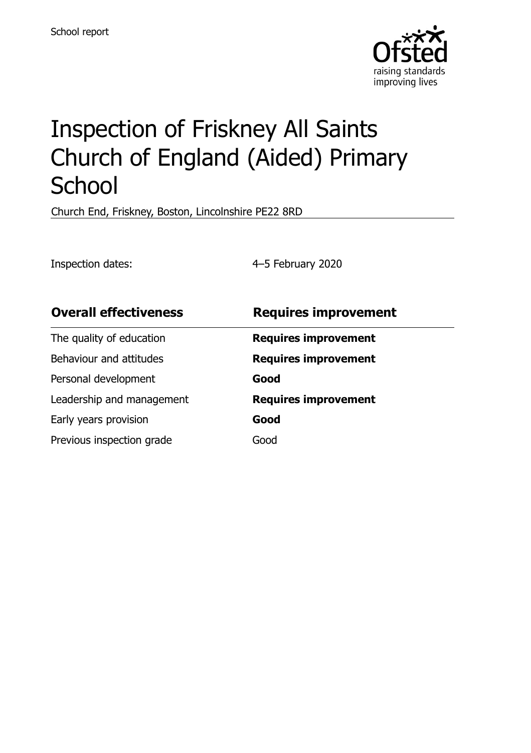

# Inspection of Friskney All Saints Church of England (Aided) Primary **School**

Church End, Friskney, Boston, Lincolnshire PE22 8RD

Inspection dates: 4–5 February 2020

| <b>Overall effectiveness</b> | <b>Requires improvement</b> |
|------------------------------|-----------------------------|
| The quality of education     | <b>Requires improvement</b> |
| Behaviour and attitudes      | <b>Requires improvement</b> |
| Personal development         | Good                        |
| Leadership and management    | <b>Requires improvement</b> |
| Early years provision        | Good                        |
| Previous inspection grade    | Good                        |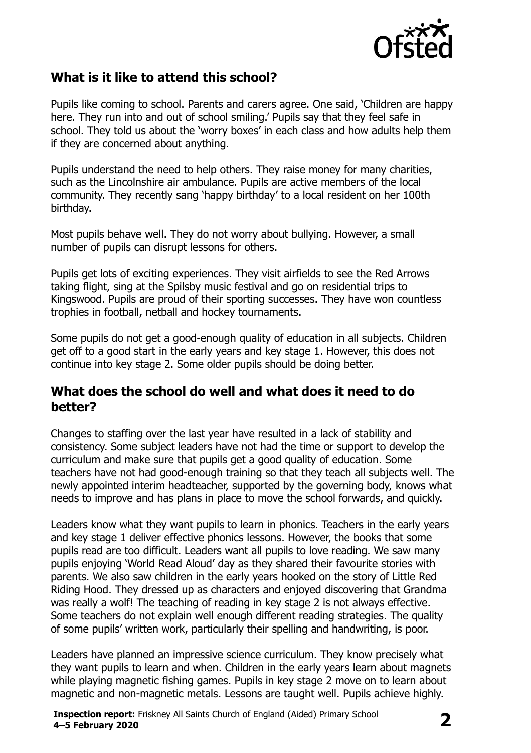

## **What is it like to attend this school?**

Pupils like coming to school. Parents and carers agree. One said, 'Children are happy here. They run into and out of school smiling.' Pupils say that they feel safe in school. They told us about the 'worry boxes' in each class and how adults help them if they are concerned about anything.

Pupils understand the need to help others. They raise money for many charities, such as the Lincolnshire air ambulance. Pupils are active members of the local community. They recently sang 'happy birthday' to a local resident on her 100th birthday.

Most pupils behave well. They do not worry about bullying. However, a small number of pupils can disrupt lessons for others.

Pupils get lots of exciting experiences. They visit airfields to see the Red Arrows taking flight, sing at the Spilsby music festival and go on residential trips to Kingswood. Pupils are proud of their sporting successes. They have won countless trophies in football, netball and hockey tournaments.

Some pupils do not get a good-enough quality of education in all subjects. Children get off to a good start in the early years and key stage 1. However, this does not continue into key stage 2. Some older pupils should be doing better.

#### **What does the school do well and what does it need to do better?**

Changes to staffing over the last year have resulted in a lack of stability and consistency. Some subject leaders have not had the time or support to develop the curriculum and make sure that pupils get a good quality of education. Some teachers have not had good-enough training so that they teach all subjects well. The newly appointed interim headteacher, supported by the governing body, knows what needs to improve and has plans in place to move the school forwards, and quickly.

Leaders know what they want pupils to learn in phonics. Teachers in the early years and key stage 1 deliver effective phonics lessons. However, the books that some pupils read are too difficult. Leaders want all pupils to love reading. We saw many pupils enjoying 'World Read Aloud' day as they shared their favourite stories with parents. We also saw children in the early years hooked on the story of Little Red Riding Hood. They dressed up as characters and enjoyed discovering that Grandma was really a wolf! The teaching of reading in key stage 2 is not always effective. Some teachers do not explain well enough different reading strategies. The quality of some pupils' written work, particularly their spelling and handwriting, is poor.

Leaders have planned an impressive science curriculum. They know precisely what they want pupils to learn and when. Children in the early years learn about magnets while playing magnetic fishing games. Pupils in key stage 2 move on to learn about magnetic and non-magnetic metals. Lessons are taught well. Pupils achieve highly.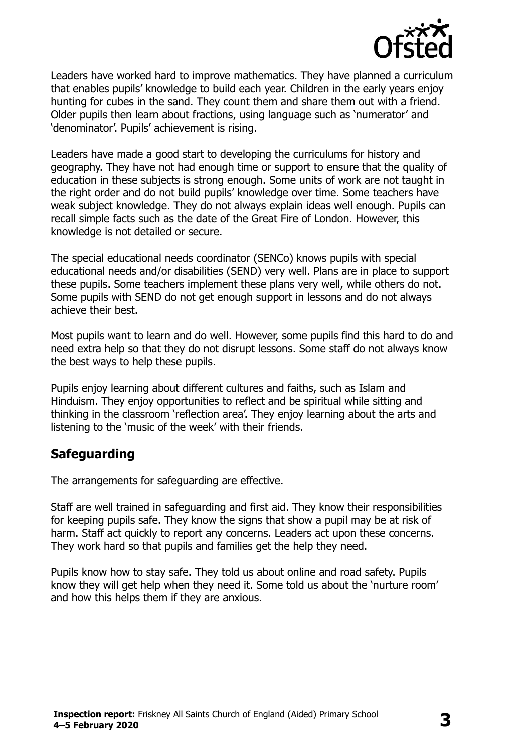

Leaders have worked hard to improve mathematics. They have planned a curriculum that enables pupils' knowledge to build each year. Children in the early years enjoy hunting for cubes in the sand. They count them and share them out with a friend. Older pupils then learn about fractions, using language such as 'numerator' and 'denominator'. Pupils' achievement is rising.

Leaders have made a good start to developing the curriculums for history and geography. They have not had enough time or support to ensure that the quality of education in these subjects is strong enough. Some units of work are not taught in the right order and do not build pupils' knowledge over time. Some teachers have weak subject knowledge. They do not always explain ideas well enough. Pupils can recall simple facts such as the date of the Great Fire of London. However, this knowledge is not detailed or secure.

The special educational needs coordinator (SENCo) knows pupils with special educational needs and/or disabilities (SEND) very well. Plans are in place to support these pupils. Some teachers implement these plans very well, while others do not. Some pupils with SEND do not get enough support in lessons and do not always achieve their best.

Most pupils want to learn and do well. However, some pupils find this hard to do and need extra help so that they do not disrupt lessons. Some staff do not always know the best ways to help these pupils.

Pupils enjoy learning about different cultures and faiths, such as Islam and Hinduism. They enjoy opportunities to reflect and be spiritual while sitting and thinking in the classroom 'reflection area'. They enjoy learning about the arts and listening to the 'music of the week' with their friends.

#### **Safeguarding**

The arrangements for safeguarding are effective.

Staff are well trained in safeguarding and first aid. They know their responsibilities for keeping pupils safe. They know the signs that show a pupil may be at risk of harm. Staff act quickly to report any concerns. Leaders act upon these concerns. They work hard so that pupils and families get the help they need.

Pupils know how to stay safe. They told us about online and road safety. Pupils know they will get help when they need it. Some told us about the 'nurture room' and how this helps them if they are anxious.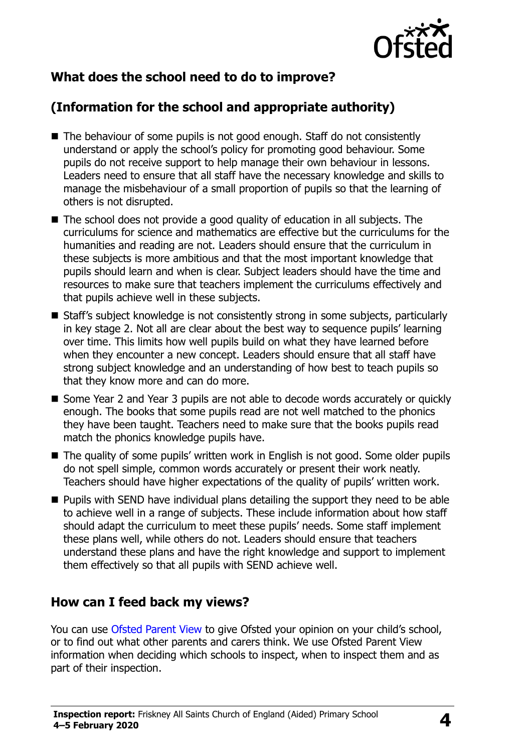

# **What does the school need to do to improve?**

# **(Information for the school and appropriate authority)**

- The behaviour of some pupils is not good enough. Staff do not consistently understand or apply the school's policy for promoting good behaviour. Some pupils do not receive support to help manage their own behaviour in lessons. Leaders need to ensure that all staff have the necessary knowledge and skills to manage the misbehaviour of a small proportion of pupils so that the learning of others is not disrupted.
- The school does not provide a good quality of education in all subjects. The curriculums for science and mathematics are effective but the curriculums for the humanities and reading are not. Leaders should ensure that the curriculum in these subjects is more ambitious and that the most important knowledge that pupils should learn and when is clear. Subject leaders should have the time and resources to make sure that teachers implement the curriculums effectively and that pupils achieve well in these subjects.
- Staff's subject knowledge is not consistently strong in some subjects, particularly in key stage 2. Not all are clear about the best way to sequence pupils' learning over time. This limits how well pupils build on what they have learned before when they encounter a new concept. Leaders should ensure that all staff have strong subject knowledge and an understanding of how best to teach pupils so that they know more and can do more.
- Some Year 2 and Year 3 pupils are not able to decode words accurately or quickly enough. The books that some pupils read are not well matched to the phonics they have been taught. Teachers need to make sure that the books pupils read match the phonics knowledge pupils have.
- The quality of some pupils' written work in English is not good. Some older pupils do not spell simple, common words accurately or present their work neatly. Teachers should have higher expectations of the quality of pupils' written work.
- $\blacksquare$  Pupils with SEND have individual plans detailing the support they need to be able to achieve well in a range of subjects. These include information about how staff should adapt the curriculum to meet these pupils' needs. Some staff implement these plans well, while others do not. Leaders should ensure that teachers understand these plans and have the right knowledge and support to implement them effectively so that all pupils with SEND achieve well.

#### **How can I feed back my views?**

You can use [Ofsted Parent View](http://parentview.ofsted.gov.uk/) to give Ofsted your opinion on your child's school, or to find out what other parents and carers think. We use Ofsted Parent View information when deciding which schools to inspect, when to inspect them and as part of their inspection.

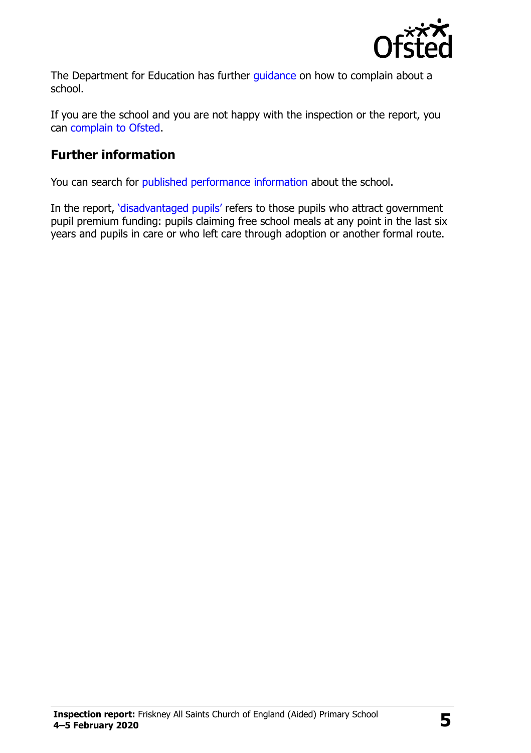

The Department for Education has further quidance on how to complain about a school.

If you are the school and you are not happy with the inspection or the report, you can [complain to Ofsted.](http://www.gov.uk/complain-ofsted-report)

## **Further information**

You can search for [published performance information](http://www.compare-school-performance.service.gov.uk/) about the school.

In the report, '[disadvantaged pupils](http://www.gov.uk/guidance/pupil-premium-information-for-schools-and-alternative-provision-settings)' refers to those pupils who attract government pupil premium funding: pupils claiming free school meals at any point in the last six years and pupils in care or who left care through adoption or another formal route.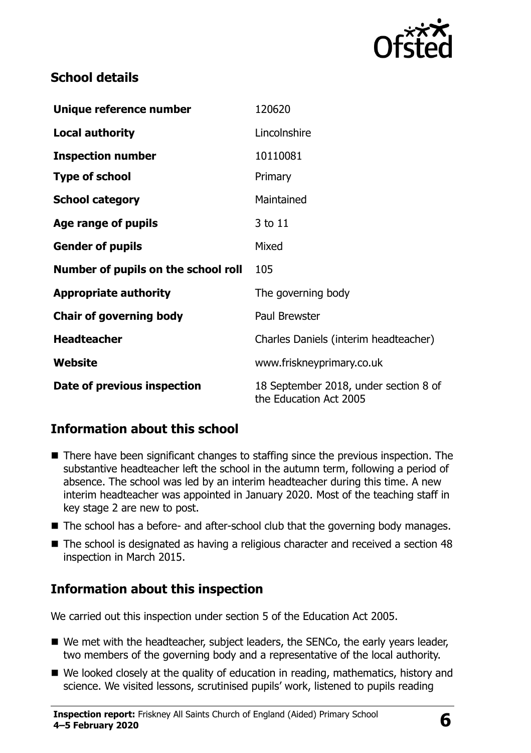

# **School details**

| Unique reference number             | 120620                                                          |
|-------------------------------------|-----------------------------------------------------------------|
| <b>Local authority</b>              | Lincolnshire                                                    |
| <b>Inspection number</b>            | 10110081                                                        |
| <b>Type of school</b>               | Primary                                                         |
| <b>School category</b>              | Maintained                                                      |
| Age range of pupils                 | 3 to 11                                                         |
| <b>Gender of pupils</b>             | Mixed                                                           |
| Number of pupils on the school roll | 105                                                             |
| <b>Appropriate authority</b>        | The governing body                                              |
| <b>Chair of governing body</b>      | Paul Brewster                                                   |
| <b>Headteacher</b>                  | Charles Daniels (interim headteacher)                           |
| Website                             | www.friskneyprimary.co.uk                                       |
| Date of previous inspection         | 18 September 2018, under section 8 of<br>the Education Act 2005 |

# **Information about this school**

- There have been significant changes to staffing since the previous inspection. The substantive headteacher left the school in the autumn term, following a period of absence. The school was led by an interim headteacher during this time. A new interim headteacher was appointed in January 2020. Most of the teaching staff in key stage 2 are new to post.
- The school has a before- and after-school club that the governing body manages.
- The school is designated as having a religious character and received a section 48 inspection in March 2015.

# **Information about this inspection**

We carried out this inspection under section 5 of the Education Act 2005.

- We met with the headteacher, subject leaders, the SENCo, the early years leader, two members of the governing body and a representative of the local authority.
- We looked closely at the quality of education in reading, mathematics, history and science. We visited lessons, scrutinised pupils' work, listened to pupils reading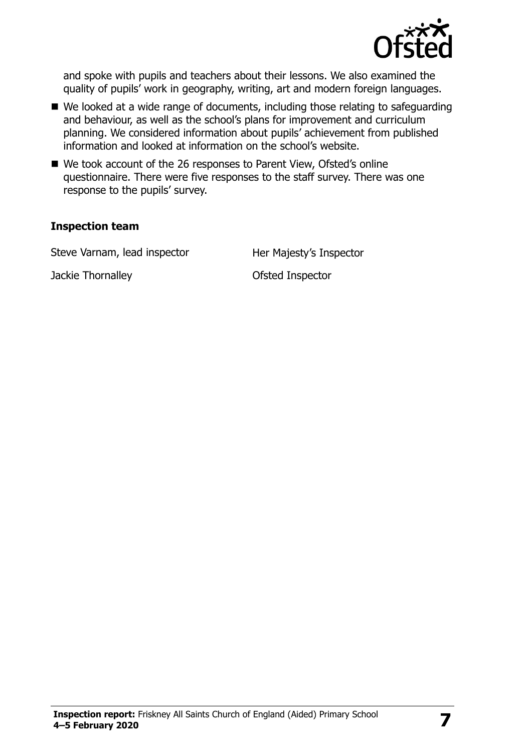

and spoke with pupils and teachers about their lessons. We also examined the quality of pupils' work in geography, writing, art and modern foreign languages.

- We looked at a wide range of documents, including those relating to safeguarding and behaviour, as well as the school's plans for improvement and curriculum planning. We considered information about pupils' achievement from published information and looked at information on the school's website.
- We took account of the 26 responses to Parent View, Ofsted's online questionnaire. There were five responses to the staff survey. There was one response to the pupils' survey.

#### **Inspection team**

Steve Varnam, lead inspector **Her Majesty's Inspector** 

Jackie Thornalley **Disk and Separate Inspector**